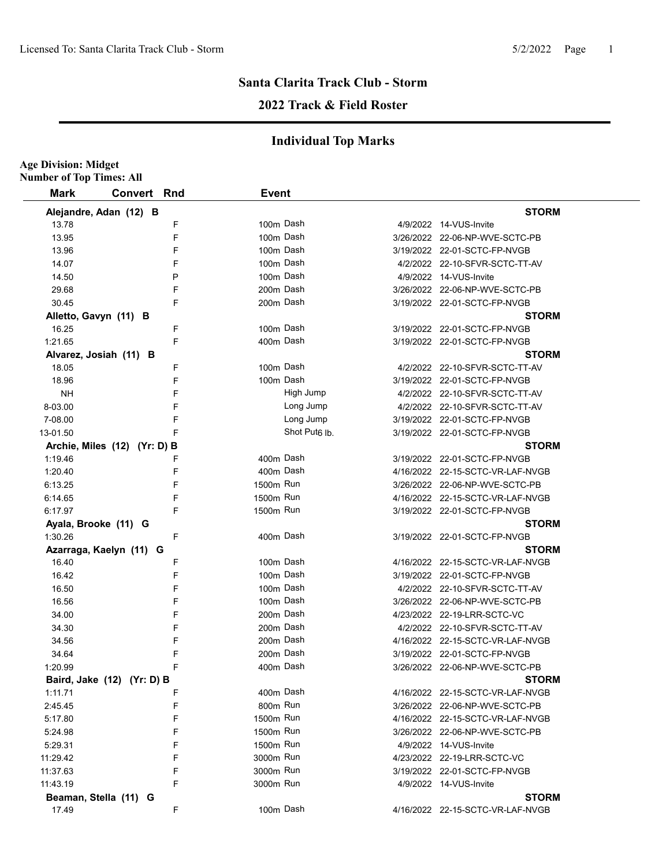## **2022 Track & Field Roster**

| Mark      | <b>Convert</b>               | Rnd | <b>Event</b> |                           |                                  |
|-----------|------------------------------|-----|--------------|---------------------------|----------------------------------|
|           |                              |     |              |                           |                                  |
|           | Alejandre, Adan (12) B       |     |              |                           | <b>STORM</b>                     |
| 13.78     |                              | F   |              | 100m Dash                 | 4/9/2022 14-VUS-Invite           |
| 13.95     |                              | F   |              | 100m Dash                 | 3/26/2022 22-06-NP-WVE-SCTC-PB   |
| 13.96     |                              | F   |              | 100m Dash                 | 3/19/2022 22-01-SCTC-FP-NVGB     |
| 14.07     |                              | F   |              | 100m Dash                 | 4/2/2022 22-10-SFVR-SCTC-TT-AV   |
| 14.50     |                              | Ρ   |              | 100m Dash                 | 4/9/2022 14-VUS-Invite           |
| 29.68     |                              | F   |              | 200m Dash                 | 3/26/2022 22-06-NP-WVE-SCTC-PB   |
| 30.45     |                              | F   |              | 200m Dash                 | 3/19/2022 22-01-SCTC-FP-NVGB     |
|           | Alletto, Gavyn (11) B        |     |              |                           | <b>STORM</b>                     |
| 16.25     |                              | F   |              | 100m Dash                 | 3/19/2022 22-01-SCTC-FP-NVGB     |
| 1:21.65   |                              | F   |              | 400m Dash                 | 3/19/2022 22-01-SCTC-FP-NVGB     |
|           | Alvarez, Josiah (11) B       |     |              |                           | <b>STORM</b>                     |
| 18.05     |                              | F   |              | 100m Dash                 | 4/2/2022 22-10-SFVR-SCTC-TT-AV   |
| 18.96     |                              | F   |              | 100m Dash                 | 3/19/2022 22-01-SCTC-FP-NVGB     |
| <b>NH</b> |                              | F   |              | High Jump                 | 4/2/2022 22-10-SFVR-SCTC-TT-AV   |
| 8-03.00   |                              | F   |              | Long Jump                 | 4/2/2022 22-10-SFVR-SCTC-TT-AV   |
| 7-08.00   |                              | F   |              | Long Jump                 | 3/19/2022 22-01-SCTC-FP-NVGB     |
| 13-01.50  |                              | F   |              | Shot Put <sub>6</sub> lb. | 3/19/2022 22-01-SCTC-FP-NVGB     |
|           | Archie, Miles (12) (Yr: D) B |     |              |                           | <b>STORM</b>                     |
| 1:19.46   |                              | F   |              | 400m Dash                 | 3/19/2022 22-01-SCTC-FP-NVGB     |
| 1:20.40   |                              | F   |              | 400m Dash                 | 4/16/2022 22-15-SCTC-VR-LAF-NVGB |
| 6:13.25   |                              | F   | 1500m Run    |                           | 3/26/2022 22-06-NP-WVE-SCTC-PB   |
| 6:14.65   |                              | F   | 1500m Run    |                           | 4/16/2022 22-15-SCTC-VR-LAF-NVGB |
| 6:17.97   |                              | F   | 1500m Run    |                           | 3/19/2022 22-01-SCTC-FP-NVGB     |
|           | Ayala, Brooke (11) G         |     |              |                           | <b>STORM</b>                     |
| 1:30.26   |                              | F   |              | 400m Dash                 | 3/19/2022 22-01-SCTC-FP-NVGB     |
|           | Azarraga, Kaelyn (11) G      |     |              |                           | <b>STORM</b>                     |
| 16.40     |                              | F   |              | 100m Dash                 | 4/16/2022 22-15-SCTC-VR-LAF-NVGB |
| 16.42     |                              | F   |              | 100m Dash                 | 3/19/2022 22-01-SCTC-FP-NVGB     |
| 16.50     |                              | F   |              | 100m Dash                 | 4/2/2022 22-10-SFVR-SCTC-TT-AV   |
| 16.56     |                              | F   |              | 100m Dash                 | 3/26/2022 22-06-NP-WVE-SCTC-PB   |
| 34.00     |                              | F   |              | 200m Dash                 | 4/23/2022 22-19-LRR-SCTC-VC      |
| 34.30     |                              | F   |              | 200m Dash                 | 4/2/2022 22-10-SFVR-SCTC-TT-AV   |
| 34.56     |                              | F   |              | 200m Dash                 | 4/16/2022 22-15-SCTC-VR-LAF-NVGB |
| 34.64     |                              | F   |              | 200m Dash                 | 3/19/2022 22-01-SCTC-FP-NVGB     |
| 1:20.99   |                              | F   |              | 400m Dash                 | 3/26/2022 22-06-NP-WVE-SCTC-PB   |
|           |                              |     |              |                           | <b>STORM</b>                     |
| 1:11.71   | Baird, Jake (12) (Yr: D) B   | F   |              | 400m Dash                 | 4/16/2022 22-15-SCTC-VR-LAF-NVGB |
|           |                              |     | 800m Run     |                           |                                  |
| 2:45.45   |                              | F   | 1500m Run    |                           | 3/26/2022 22-06-NP-WVE-SCTC-PB   |
| 5:17.80   |                              | F   |              |                           | 4/16/2022 22-15-SCTC-VR-LAF-NVGB |
| 5:24.98   |                              | F   | 1500m Run    |                           | 3/26/2022 22-06-NP-WVE-SCTC-PB   |
| 5:29.31   |                              | F   | 1500m Run    |                           | 4/9/2022 14-VUS-Invite           |
| 11:29.42  |                              | F   | 3000m Run    |                           | 4/23/2022 22-19-LRR-SCTC-VC      |
| 11:37.63  |                              | F   | 3000m Run    |                           | 3/19/2022 22-01-SCTC-FP-NVGB     |
| 11:43.19  |                              | F   | 3000m Run    |                           | 4/9/2022 14-VUS-Invite           |
|           | Beaman, Stella (11) G        |     |              |                           | <b>STORM</b>                     |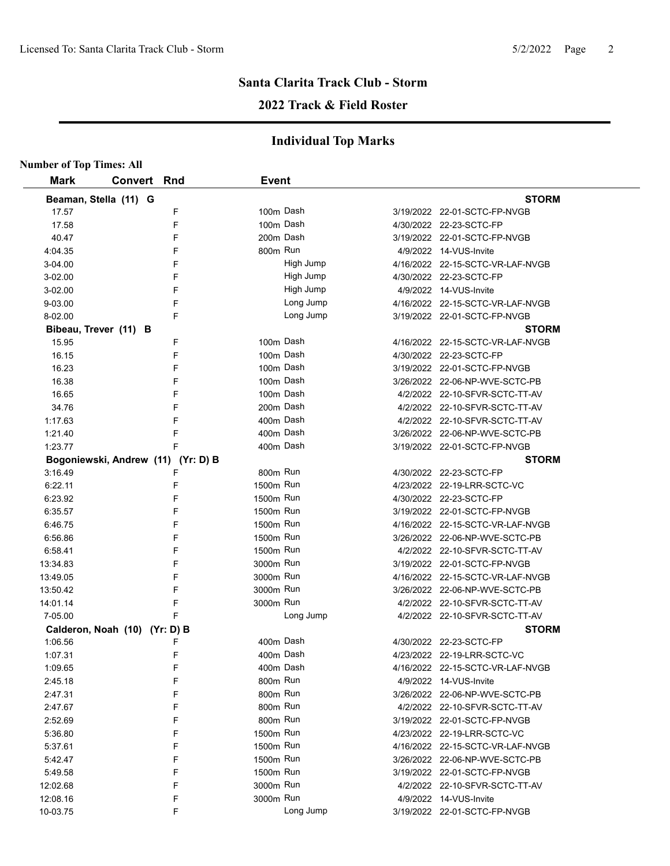### **2022 Track & Field Roster**

| <b>Number of Top Times: All</b> |                               |                                    |              |           |                                  |
|---------------------------------|-------------------------------|------------------------------------|--------------|-----------|----------------------------------|
| <b>Mark</b>                     | <b>Convert Rnd</b>            |                                    | <b>Event</b> |           |                                  |
|                                 | Beaman, Stella (11) G         |                                    |              |           | <b>STORM</b>                     |
| 17.57                           |                               | F                                  |              | 100m Dash | 3/19/2022 22-01-SCTC-FP-NVGB     |
| 17.58                           |                               | F                                  |              | 100m Dash | 4/30/2022 22-23-SCTC-FP          |
| 40.47                           |                               | F                                  | 200m Dash    |           | 3/19/2022 22-01-SCTC-FP-NVGB     |
| 4:04.35                         |                               | F                                  | 800m Run     |           | 4/9/2022 14-VUS-Invite           |
| 3-04.00                         |                               | F                                  |              | High Jump | 4/16/2022 22-15-SCTC-VR-LAF-NVGB |
| 3-02.00                         |                               | F                                  |              | High Jump | 4/30/2022 22-23-SCTC-FP          |
| 3-02.00                         |                               | F                                  |              | High Jump | 4/9/2022 14-VUS-Invite           |
| 9-03.00                         |                               | F                                  |              | Long Jump | 4/16/2022 22-15-SCTC-VR-LAF-NVGB |
| 8-02.00                         |                               | F                                  |              | Long Jump | 3/19/2022 22-01-SCTC-FP-NVGB     |
|                                 | Bibeau, Trever (11) B         |                                    |              |           | <b>STORM</b>                     |
| 15.95                           |                               | F                                  | 100m Dash    |           | 4/16/2022 22-15-SCTC-VR-LAF-NVGB |
| 16.15                           |                               | F                                  |              | 100m Dash | 4/30/2022 22-23-SCTC-FP          |
| 16.23                           |                               | F                                  |              | 100m Dash | 3/19/2022 22-01-SCTC-FP-NVGB     |
| 16.38                           |                               | F                                  |              | 100m Dash | 3/26/2022 22-06-NP-WVE-SCTC-PB   |
| 16.65                           |                               | F                                  | 100m Dash    |           | 4/2/2022 22-10-SFVR-SCTC-TT-AV   |
| 34.76                           |                               | F                                  | 200m Dash    |           | 4/2/2022 22-10-SFVR-SCTC-TT-AV   |
| 1:17.63                         |                               | F                                  | 400m Dash    |           | 4/2/2022 22-10-SFVR-SCTC-TT-AV   |
| 1:21.40                         |                               | F                                  | 400m Dash    |           | 3/26/2022 22-06-NP-WVE-SCTC-PB   |
| 1:23.77                         |                               | F                                  | 400m Dash    |           | 3/19/2022 22-01-SCTC-FP-NVGB     |
|                                 |                               | Bogoniewski, Andrew (11) (Yr: D) B |              |           | <b>STORM</b>                     |
| 3:16.49                         |                               | F                                  | 800m Run     |           | 4/30/2022 22-23-SCTC-FP          |
| 6:22.11                         |                               | F                                  | 1500m Run    |           | 4/23/2022 22-19-LRR-SCTC-VC      |
| 6:23.92                         |                               | F                                  | 1500m Run    |           | 4/30/2022 22-23-SCTC-FP          |
| 6:35.57                         |                               | F                                  | 1500m Run    |           | 3/19/2022 22-01-SCTC-FP-NVGB     |
| 6:46.75                         |                               | F                                  | 1500m Run    |           | 4/16/2022 22-15-SCTC-VR-LAF-NVGB |
| 6:56.86                         |                               | F                                  | 1500m Run    |           | 3/26/2022 22-06-NP-WVE-SCTC-PB   |
| 6.58.41                         |                               | F                                  | 1500m Run    |           | 4/2/2022 22-10-SFVR-SCTC-TT-AV   |
| 13:34.83                        |                               | F                                  | 3000m Run    |           | 3/19/2022 22-01-SCTC-FP-NVGB     |
| 13:49.05                        |                               | F                                  | 3000m Run    |           | 4/16/2022 22-15-SCTC-VR-LAF-NVGB |
| 13:50.42                        |                               | F                                  | 3000m Run    |           | 3/26/2022 22-06-NP-WVE-SCTC-PB   |
| 14:01.14                        |                               | F                                  | 3000m Run    |           | 4/2/2022 22-10-SFVR-SCTC-TT-AV   |
| 7-05.00                         |                               |                                    |              | Long Jump | 4/2/2022 22-10-SFVR-SCTC-TT-AV   |
|                                 | Calderon, Noah (10) (Yr: D) B |                                    |              |           | <b>STORM</b>                     |
| 1:06.56                         |                               | F                                  | 400m Dash    |           | 4/30/2022 22-23-SCTC-FP          |
| 1:07.31                         |                               | F                                  | 400m Dash    |           | 4/23/2022 22-19-LRR-SCTC-VC      |
| 1:09.65                         |                               | F                                  | 400m Dash    |           | 4/16/2022 22-15-SCTC-VR-LAF-NVGB |
| 2:45.18                         |                               | F                                  | 800m Run     |           | 4/9/2022 14-VUS-Invite           |
| 2.47.31                         |                               | F                                  | 800m Run     |           | 3/26/2022 22-06-NP-WVE-SCTC-PB   |
| 2:47.67                         |                               | F                                  | 800m Run     |           | 4/2/2022 22-10-SFVR-SCTC-TT-AV   |
| 2:52.69                         |                               | F                                  | 800m Run     |           | 3/19/2022 22-01-SCTC-FP-NVGB     |
| 5:36.80                         |                               | F                                  | 1500m Run    |           | 4/23/2022 22-19-LRR-SCTC-VC      |
| 5:37.61                         |                               | F                                  | 1500m Run    |           | 4/16/2022 22-15-SCTC-VR-LAF-NVGB |
| 5:42.47                         |                               | F                                  | 1500m Run    |           | 3/26/2022 22-06-NP-WVE-SCTC-PB   |
| 5:49.58                         |                               | F                                  | 1500m Run    |           | 3/19/2022 22-01-SCTC-FP-NVGB     |
| 12:02.68                        |                               | F                                  | 3000m Run    |           | 4/2/2022 22-10-SFVR-SCTC-TT-AV   |
| 12:08.16                        |                               | F                                  | 3000m Run    |           | 4/9/2022 14-VUS-Invite           |
| 10-03.75                        |                               | F                                  |              | Long Jump | 3/19/2022 22-01-SCTC-FP-NVGB     |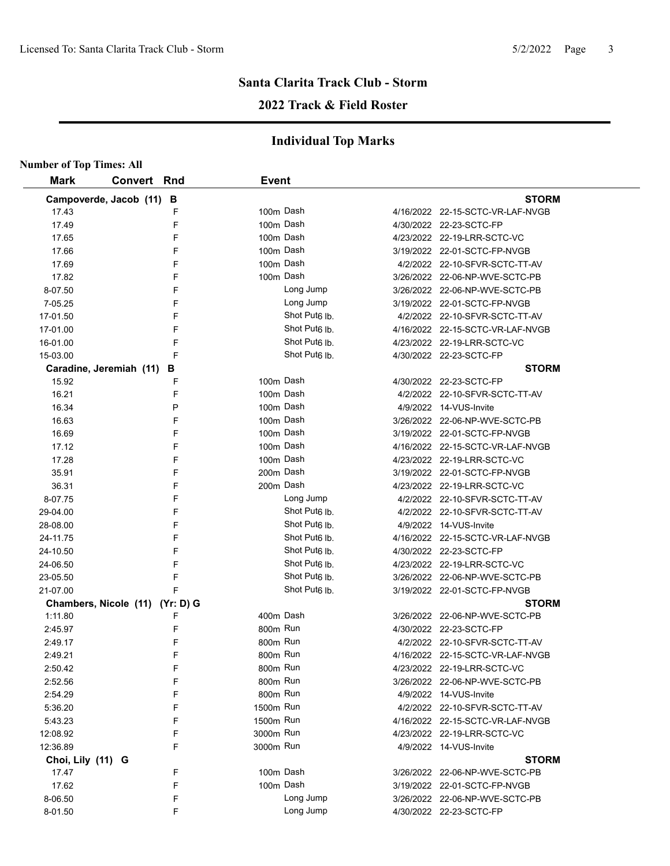## **Santa Clarita Track Club - Storm 2022 Track & Field Roster**

| <b>Number of Top Times: All</b> |                                 |              |                           |                                  |
|---------------------------------|---------------------------------|--------------|---------------------------|----------------------------------|
| <b>Mark</b>                     | <b>Convert Rnd</b>              | <b>Event</b> |                           |                                  |
|                                 | Campoverde, Jacob (11) B        |              |                           | <b>STORM</b>                     |
| 17.43                           | F                               | 100m Dash    |                           | 4/16/2022 22-15-SCTC-VR-LAF-NVGB |
| 17.49                           | F                               | 100m Dash    |                           | 4/30/2022 22-23-SCTC-FP          |
| 17.65                           | F                               | 100m Dash    |                           | 4/23/2022 22-19-LRR-SCTC-VC      |
| 17.66                           | F                               | 100m Dash    |                           | 3/19/2022 22-01-SCTC-FP-NVGB     |
| 17.69                           | F                               | 100m Dash    |                           | 4/2/2022 22-10-SFVR-SCTC-TT-AV   |
| 17.82                           | F                               | 100m Dash    |                           | 3/26/2022 22-06-NP-WVE-SCTC-PB   |
| 8-07.50                         | F                               |              | Long Jump                 | 3/26/2022 22-06-NP-WVE-SCTC-PB   |
| 7-05.25                         | F                               |              | Long Jump                 | 3/19/2022 22-01-SCTC-FP-NVGB     |
| 17-01.50                        | F                               |              | Shot Put <sub>6</sub> lb. | 4/2/2022 22-10-SFVR-SCTC-TT-AV   |
| 17-01.00                        | F                               |              | Shot Put <sub>6</sub> lb. | 4/16/2022 22-15-SCTC-VR-LAF-NVGB |
| 16-01.00                        | F                               |              | Shot Put <sub>6</sub> lb. | 4/23/2022 22-19-LRR-SCTC-VC      |
| 15-03.00                        | F                               |              | Shot Put <sub>6</sub> lb. | 4/30/2022 22-23-SCTC-FP          |
|                                 | Caradine, Jeremiah (11)<br>В    |              |                           | <b>STORM</b>                     |
| 15.92                           | F                               | 100m Dash    |                           | 4/30/2022 22-23-SCTC-FP          |
| 16.21                           | F                               | 100m Dash    |                           | 4/2/2022 22-10-SFVR-SCTC-TT-AV   |
| 16.34                           | P                               | 100m Dash    |                           | 4/9/2022 14-VUS-Invite           |
| 16.63                           | F                               | 100m Dash    |                           | 3/26/2022 22-06-NP-WVE-SCTC-PB   |
| 16.69                           | F                               | 100m Dash    |                           | 3/19/2022 22-01-SCTC-FP-NVGB     |
| 17.12                           | F                               | 100m Dash    |                           | 4/16/2022 22-15-SCTC-VR-LAF-NVGB |
| 17.28                           | F                               | 100m Dash    |                           | 4/23/2022 22-19-LRR-SCTC-VC      |
| 35.91                           | F                               | 200m Dash    |                           | 3/19/2022 22-01-SCTC-FP-NVGB     |
| 36.31                           | F                               | 200m Dash    |                           | 4/23/2022 22-19-LRR-SCTC-VC      |
| 8-07.75                         | F                               |              | Long Jump                 | 4/2/2022 22-10-SFVR-SCTC-TT-AV   |
| 29-04.00                        | F                               |              | Shot Put <sub>6</sub> Ib. | 4/2/2022 22-10-SFVR-SCTC-TT-AV   |
| 28-08.00                        | F                               |              | Shot Put <sub>6</sub> Ib. | 4/9/2022 14-VUS-Invite           |
| 24-11.75                        | F                               |              | Shot Put <sub>6</sub> lb. | 4/16/2022 22-15-SCTC-VR-LAF-NVGB |
| 24-10.50                        | F                               |              | Shot Put <sub>6</sub> lb. | 4/30/2022 22-23-SCTC-FP          |
| 24-06.50                        | F                               |              | Shot Put <sub>6</sub> lb. | 4/23/2022 22-19-LRR-SCTC-VC      |
| 23-05.50                        | F                               |              | Shot Put <sub>6</sub> lb. | 3/26/2022 22-06-NP-WVE-SCTC-PB   |
| 21-07.00                        | F                               |              | Shot Put <sub>6</sub> lb. | 3/19/2022 22-01-SCTC-FP-NVGB     |
|                                 | Chambers, Nicole (11) (Yr: D) G |              |                           | <b>STORM</b>                     |
| 1:11.80                         | F                               | 400m Dash    |                           | 3/26/2022 22-06-NP-WVE-SCTC-PB   |
| 2:45.97                         | F                               | 800m Run     |                           | 4/30/2022 22-23-SCTC-FP          |
| 2:49.17                         | F                               | 800m Run     |                           | 4/2/2022 22-10-SFVR-SCTC-TT-AV   |
| 2:49.21                         | F                               | 800m Run     |                           | 4/16/2022 22-15-SCTC-VR-LAF-NVGB |
| 2:50.42                         | F                               | 800m Run     |                           | 4/23/2022 22-19-LRR-SCTC-VC      |
| 2:52.56                         | F                               | 800m Run     |                           | 3/26/2022 22-06-NP-WVE-SCTC-PB   |
| 2:54.29                         | F                               | 800m Run     |                           | 4/9/2022 14-VUS-Invite           |
| 5:36.20                         | F                               | 1500m Run    |                           | 4/2/2022 22-10-SFVR-SCTC-TT-AV   |
| 5:43.23                         | F                               | 1500m Run    |                           | 4/16/2022 22-15-SCTC-VR-LAF-NVGB |
| 12:08.92                        | F                               | 3000m Run    |                           | 4/23/2022 22-19-LRR-SCTC-VC      |
| 12:36.89                        | F                               | 3000m Run    |                           | 4/9/2022 14-VUS-Invite           |
| Choi, Lily (11) G               |                                 |              |                           | <b>STORM</b>                     |
| 17.47                           | F                               | 100m Dash    |                           | 3/26/2022 22-06-NP-WVE-SCTC-PB   |
| 17.62                           | F                               | 100m Dash    |                           | 3/19/2022 22-01-SCTC-FP-NVGB     |
| 8-06.50                         | F                               |              | Long Jump                 | 3/26/2022 22-06-NP-WVE-SCTC-PB   |
| 8-01.50                         | F                               |              | Long Jump                 | 4/30/2022 22-23-SCTC-FP          |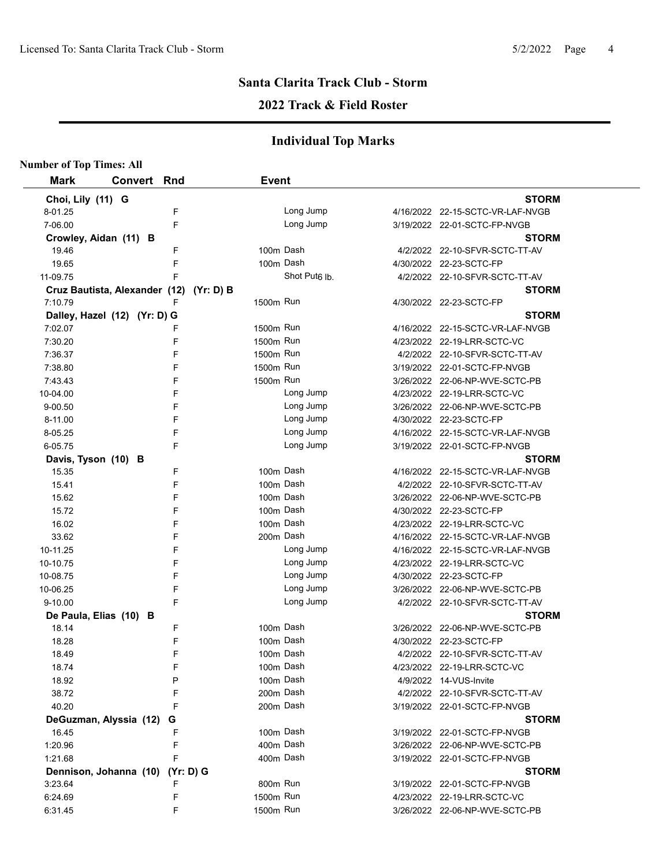#### **2022 Track & Field Roster**

| <b>Number of Top Times: All</b> |                                  |           |                           |                                  |
|---------------------------------|----------------------------------|-----------|---------------------------|----------------------------------|
| <b>Mark</b>                     | <b>Convert Rnd</b>               |           | <b>Event</b>              |                                  |
| Choi, Lily (11) G               |                                  |           |                           | <b>STORM</b>                     |
| 8-01.25                         |                                  | F         | Long Jump                 | 4/16/2022 22-15-SCTC-VR-LAF-NVGB |
| 7-06.00                         |                                  | F         | Long Jump                 | 3/19/2022 22-01-SCTC-FP-NVGB     |
|                                 | Crowley, Aidan (11) B            |           |                           | <b>STORM</b>                     |
| 19.46                           |                                  | F         | 100m Dash                 | 4/2/2022 22-10-SFVR-SCTC-TT-AV   |
| 19.65                           |                                  | F         | 100m Dash                 | 4/30/2022 22-23-SCTC-FP          |
| 11-09.75                        |                                  | F         | Shot Put <sub>6</sub> lb. | 4/2/2022 22-10-SFVR-SCTC-TT-AV   |
|                                 | Cruz Bautista, Alexander (12)    | (Yr: D) B |                           | <b>STORM</b>                     |
| 7:10.79                         |                                  | F         | 1500m Run                 | 4/30/2022 22-23-SCTC-FP          |
|                                 | Dalley, Hazel (12) (Yr: D) G     |           |                           | <b>STORM</b>                     |
| 7:02.07                         |                                  | F         | 1500m Run                 | 4/16/2022 22-15-SCTC-VR-LAF-NVGB |
| 7:30.20                         |                                  | F         | 1500m Run                 | 4/23/2022 22-19-LRR-SCTC-VC      |
| 7:36.37                         |                                  | F         | 1500m Run                 | 4/2/2022 22-10-SFVR-SCTC-TT-AV   |
| 7:38.80                         |                                  | F         | 1500m Run                 | 3/19/2022 22-01-SCTC-FP-NVGB     |
| 7:43.43                         |                                  | F         | 1500m Run                 | 3/26/2022 22-06-NP-WVE-SCTC-PB   |
| 10-04.00                        |                                  | F         | Long Jump                 | 4/23/2022 22-19-LRR-SCTC-VC      |
| 9-00.50                         |                                  | F         | Long Jump                 | 3/26/2022 22-06-NP-WVE-SCTC-PB   |
| 8-11.00                         |                                  | F         | Long Jump                 | 4/30/2022 22-23-SCTC-FP          |
| 8-05.25                         |                                  | F         | Long Jump                 | 4/16/2022 22-15-SCTC-VR-LAF-NVGB |
| 6-05.75                         |                                  | F         | Long Jump                 | 3/19/2022 22-01-SCTC-FP-NVGB     |
| Davis, Tyson (10) B             |                                  |           |                           | <b>STORM</b>                     |
| 15.35                           |                                  | F         | 100m Dash                 | 4/16/2022 22-15-SCTC-VR-LAF-NVGB |
| 15.41                           |                                  | F         | 100m Dash                 | 4/2/2022 22-10-SFVR-SCTC-TT-AV   |
| 15.62                           |                                  | F         | 100m Dash                 | 3/26/2022 22-06-NP-WVE-SCTC-PB   |
| 15.72                           |                                  | F         | 100m Dash                 | 4/30/2022 22-23-SCTC-FP          |
| 16.02                           |                                  | F         | 100m Dash                 | 4/23/2022 22-19-LRR-SCTC-VC      |
| 33.62                           |                                  | F         | 200m Dash                 | 4/16/2022 22-15-SCTC-VR-LAF-NVGB |
| 10-11.25                        |                                  | F         | Long Jump                 | 4/16/2022 22-15-SCTC-VR-LAF-NVGB |
| 10-10.75                        |                                  | F         | Long Jump                 | 4/23/2022 22-19-LRR-SCTC-VC      |
| 10-08.75                        |                                  | F         | Long Jump                 | 4/30/2022 22-23-SCTC-FP          |
| 10-06.25                        |                                  | F         | Long Jump                 | 3/26/2022 22-06-NP-WVE-SCTC-PB   |
| 9-10.00                         |                                  | F         | Long Jump                 | 4/2/2022 22-10-SFVR-SCTC-TT-AV   |
|                                 | De Paula, Elias (10) B           |           |                           | <b>STORM</b>                     |
| 18.14                           |                                  | F         | 100m Dash                 | 3/26/2022 22-06-NP-WVE-SCTC-PB   |
| 18.28                           |                                  | F         | 100m Dash                 | 4/30/2022 22-23-SCTC-FP          |
| 18.49                           |                                  | F         | 100m Dash                 | 4/2/2022 22-10-SFVR-SCTC-TT-AV   |
| 18.74                           |                                  | F         | 100m Dash                 | 4/23/2022 22-19-LRR-SCTC-VC      |
| 18.92                           |                                  | P         | 100m Dash                 | 4/9/2022 14-VUS-Invite           |
| 38.72                           |                                  | F         | 200m Dash                 | 4/2/2022 22-10-SFVR-SCTC-TT-AV   |
| 40.20                           |                                  | F         | 200m Dash                 | 3/19/2022 22-01-SCTC-FP-NVGB     |
|                                 | DeGuzman, Alyssia (12)           | G         |                           | <b>STORM</b>                     |
| 16.45                           |                                  | F         | 100m Dash                 | 3/19/2022 22-01-SCTC-FP-NVGB     |
| 1:20.96                         |                                  | F         | 400m Dash                 | 3/26/2022 22-06-NP-WVE-SCTC-PB   |
| 1:21.68                         |                                  | F         | 400m Dash                 | 3/19/2022 22-01-SCTC-FP-NVGB     |
|                                 | Dennison, Johanna (10) (Yr: D) G |           |                           | <b>STORM</b>                     |
| 3:23.64                         |                                  | F         | 800m Run                  | 3/19/2022 22-01-SCTC-FP-NVGB     |
| 6:24.69                         |                                  | F         | 1500m Run                 | 4/23/2022 22-19-LRR-SCTC-VC      |
| 6:31.45                         |                                  | F         | 1500m Run                 | 3/26/2022 22-06-NP-WVE-SCTC-PB   |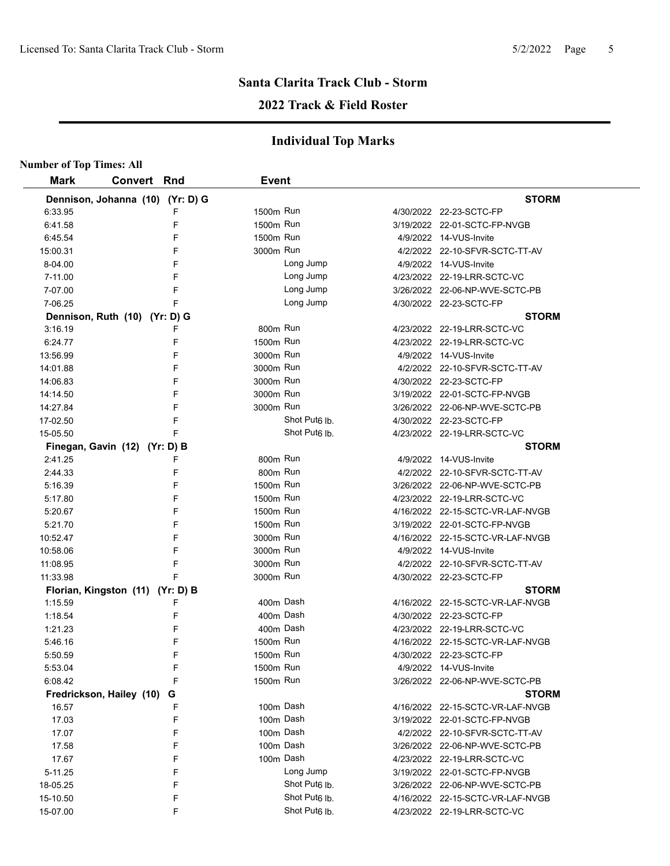## **2022 Track & Field Roster**

| <b>Number of Top Times: All</b> |                                  |              |                           |                                  |
|---------------------------------|----------------------------------|--------------|---------------------------|----------------------------------|
| <b>Mark</b>                     | <b>Convert Rnd</b>               | <b>Event</b> |                           |                                  |
|                                 | Dennison, Johanna (10) (Yr: D) G |              |                           | <b>STORM</b>                     |
| 6:33.95                         | F                                | 1500m Run    |                           | 4/30/2022 22-23-SCTC-FP          |
| 6:41.58                         | F                                | 1500m Run    |                           | 3/19/2022 22-01-SCTC-FP-NVGB     |
| 6:45.54                         | F                                | 1500m Run    |                           | 4/9/2022 14-VUS-Invite           |
| 15:00.31                        | F                                | 3000m Run    |                           | 4/2/2022 22-10-SFVR-SCTC-TT-AV   |
| 8-04.00                         | F                                |              | Long Jump                 | 4/9/2022 14-VUS-Invite           |
| 7-11.00                         | F                                |              | Long Jump                 | 4/23/2022 22-19-LRR-SCTC-VC      |
| 7-07.00                         | F                                |              | Long Jump                 | 3/26/2022 22-06-NP-WVE-SCTC-PB   |
| 7-06.25                         | F                                |              | Long Jump                 | 4/30/2022 22-23-SCTC-FP          |
|                                 | Dennison, Ruth (10) (Yr: D) G    |              |                           | <b>STORM</b>                     |
| 3:16.19                         | F                                | 800m Run     |                           | 4/23/2022 22-19-LRR-SCTC-VC      |
| 6:24.77                         | F                                | 1500m Run    |                           | 4/23/2022 22-19-LRR-SCTC-VC      |
| 13:56.99                        | F                                | 3000m Run    |                           | 4/9/2022 14-VUS-Invite           |
| 14:01.88                        | F                                | 3000m Run    |                           | 4/2/2022 22-10-SFVR-SCTC-TT-AV   |
| 14:06.83                        | F                                | 3000m Run    |                           | 4/30/2022 22-23-SCTC-FP          |
| 14:14.50                        | F                                | 3000m Run    |                           | 3/19/2022 22-01-SCTC-FP-NVGB     |
| 14:27.84                        | F                                | 3000m Run    |                           | 3/26/2022 22-06-NP-WVE-SCTC-PB   |
| 17-02.50                        | F                                |              | Shot Put <sub>6</sub> Ib. | 4/30/2022 22-23-SCTC-FP          |
| 15-05.50                        | F                                |              | Shot Put <sub>6</sub> lb. | 4/23/2022 22-19-LRR-SCTC-VC      |
|                                 | Finegan, Gavin (12) (Yr: D) B    |              |                           | <b>STORM</b>                     |
| 2:41.25                         | F                                | 800m Run     |                           | 4/9/2022 14-VUS-Invite           |
| 2:44.33                         | F                                | 800m Run     |                           | 4/2/2022 22-10-SFVR-SCTC-TT-AV   |
| 5:16.39                         | F                                | 1500m Run    |                           | 3/26/2022 22-06-NP-WVE-SCTC-PB   |
| 5:17.80                         | F                                | 1500m Run    |                           | 4/23/2022 22-19-LRR-SCTC-VC      |
| 5:20.67                         | F                                | 1500m Run    |                           | 4/16/2022 22-15-SCTC-VR-LAF-NVGB |
| 5:21.70                         | F                                | 1500m Run    |                           | 3/19/2022 22-01-SCTC-FP-NVGB     |
| 10:52.47                        | F                                | 3000m Run    |                           | 4/16/2022 22-15-SCTC-VR-LAF-NVGB |
| 10:58.06                        | F                                | 3000m Run    |                           | 4/9/2022 14-VUS-Invite           |
| 11:08.95                        | F                                | 3000m Run    |                           | 4/2/2022 22-10-SFVR-SCTC-TT-AV   |
| 11:33.98                        |                                  | 3000m Run    |                           | 4/30/2022 22-23-SCTC-FP          |
|                                 | Florian, Kingston (11) (Yr: D) B |              |                           | <b>STORM</b>                     |
| 1:15.59                         | F                                | 400m Dash    |                           | 4/16/2022 22-15-SCTC-VR-LAF-NVGB |
| 1:18.54                         | F                                | 400m Dash    |                           | 4/30/2022 22-23-SCTC-FP          |
| 1:21.23                         | F                                | 400m Dash    |                           | 4/23/2022 22-19-LRR-SCTC-VC      |
| 5:46.16                         | F                                | 1500m Run    |                           | 4/16/2022 22-15-SCTC-VR-LAF-NVGB |
| 5:50.59                         | F                                | 1500m Run    |                           | 4/30/2022 22-23-SCTC-FP          |
| 5:53.04                         | F                                | 1500m Run    |                           | 4/9/2022 14-VUS-Invite           |
| 6:08.42                         | F                                | 1500m Run    |                           | 3/26/2022 22-06-NP-WVE-SCTC-PB   |
|                                 | Fredrickson, Hailey (10)<br>G    |              |                           | <b>STORM</b>                     |
| 16.57                           | F                                | 100m Dash    |                           | 4/16/2022 22-15-SCTC-VR-LAF-NVGB |
| 17.03                           | F                                | 100m Dash    |                           | 3/19/2022 22-01-SCTC-FP-NVGB     |
| 17.07                           | F                                | 100m Dash    |                           | 4/2/2022 22-10-SFVR-SCTC-TT-AV   |
| 17.58                           | F                                | 100m Dash    |                           | 3/26/2022 22-06-NP-WVE-SCTC-PB   |
| 17.67                           | F                                | 100m Dash    |                           | 4/23/2022 22-19-LRR-SCTC-VC      |
| 5-11.25                         | F                                |              | Long Jump                 | 3/19/2022 22-01-SCTC-FP-NVGB     |
| 18-05.25                        | F                                |              | Shot Put <sub>6</sub> lb. | 3/26/2022 22-06-NP-WVE-SCTC-PB   |
| 15-10.50                        | F                                |              | Shot Put <sub>6</sub> lb. | 4/16/2022 22-15-SCTC-VR-LAF-NVGB |
| 15-07.00                        | F                                |              | Shot Put <sub>6</sub> lb. | 4/23/2022 22-19-LRR-SCTC-VC      |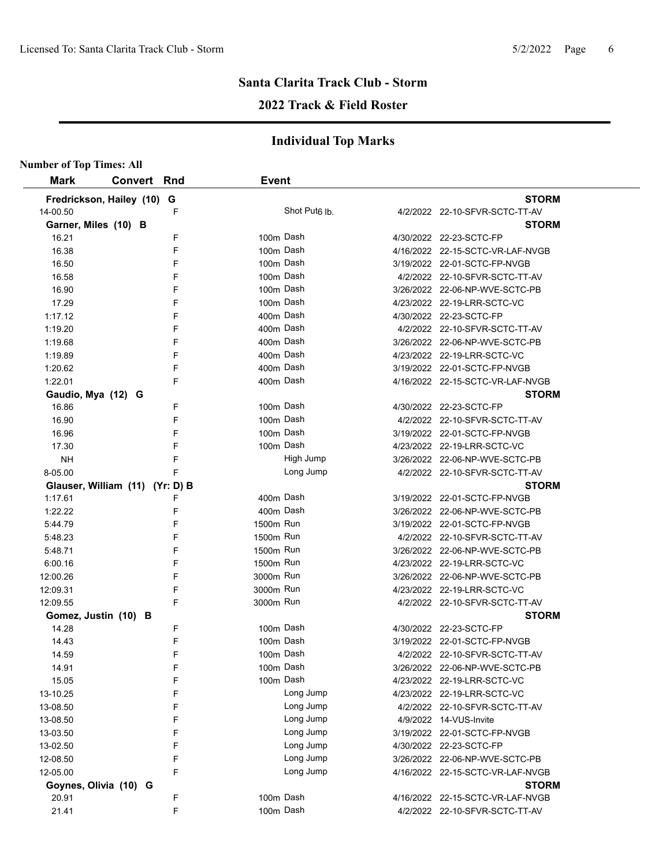## **2022 Track & Field Roster**

| <b>Mark</b>                | <b>Convert Rnd</b>              | <b>Event</b>              |                                  |
|----------------------------|---------------------------------|---------------------------|----------------------------------|
| Fredrickson, Hailey (10) G |                                 |                           | <b>STORM</b>                     |
| 14-00.50                   | F                               | Shot Put <sub>6</sub> lb. | 4/2/2022 22-10-SFVR-SCTC-TT-AV   |
| Garner, Miles (10) B       |                                 |                           | <b>STORM</b>                     |
| 16.21                      | F                               | 100m Dash                 | 4/30/2022 22-23-SCTC-FP          |
| 16.38                      | F                               | 100m Dash                 | 4/16/2022 22-15-SCTC-VR-LAF-NVGB |
| 16.50                      | F                               | 100m Dash                 | 3/19/2022 22-01-SCTC-FP-NVGB     |
| 16.58                      | F                               | 100m Dash                 | 4/2/2022 22-10-SFVR-SCTC-TT-AV   |
| 16.90                      | F                               | 100m Dash                 | 3/26/2022 22-06-NP-WVE-SCTC-PB   |
| 17.29                      | F                               | 100m Dash                 | 4/23/2022 22-19-LRR-SCTC-VC      |
| 1:17.12                    | F                               | 400m Dash                 | 4/30/2022 22-23-SCTC-FP          |
| 1:19.20                    | F                               | 400m Dash                 | 4/2/2022 22-10-SFVR-SCTC-TT-AV   |
| 1:19.68                    | F                               | 400m Dash                 | 3/26/2022 22-06-NP-WVE-SCTC-PB   |
| 1:19.89                    | F                               | 400m Dash                 | 4/23/2022 22-19-LRR-SCTC-VC      |
| 1:20.62                    | F                               | 400m Dash                 | 3/19/2022 22-01-SCTC-FP-NVGB     |
| 1:22.01                    | F                               | 400m Dash                 | 4/16/2022 22-15-SCTC-VR-LAF-NVGB |
| Gaudio, Mya (12) G         |                                 |                           | <b>STORM</b>                     |
| 16.86                      | F                               | 100m Dash                 | 4/30/2022 22-23-SCTC-FP          |
| 16.90                      | F                               | 100m Dash                 | 4/2/2022 22-10-SFVR-SCTC-TT-AV   |
| 16.96                      | F                               | 100m Dash                 | 3/19/2022 22-01-SCTC-FP-NVGB     |
| 17.30                      | F                               | 100m Dash                 | 4/23/2022 22-19-LRR-SCTC-VC      |
| <b>NH</b>                  | F                               | High Jump                 | 3/26/2022 22-06-NP-WVE-SCTC-PB   |
| 8-05.00                    | F                               | Long Jump                 | 4/2/2022 22-10-SFVR-SCTC-TT-AV   |
|                            | Glauser, William (11) (Yr: D) B |                           | <b>STORM</b>                     |
| 1:17.61                    | F                               | 400m Dash                 | 3/19/2022 22-01-SCTC-FP-NVGB     |
| 1:22.22                    | F                               | 400m Dash                 | 3/26/2022 22-06-NP-WVE-SCTC-PB   |
| 5:44.79                    | F                               | 1500m Run                 | 3/19/2022 22-01-SCTC-FP-NVGB     |
| 5:48.23                    | F                               | 1500m Run                 | 4/2/2022 22-10-SFVR-SCTC-TT-AV   |
| 5:48.71                    | F                               | 1500m Run                 | 3/26/2022 22-06-NP-WVE-SCTC-PB   |
| 6:00.16                    | F                               | 1500m Run                 | 4/23/2022 22-19-LRR-SCTC-VC      |
| 12:00.26                   | F                               | 3000m Run                 | 3/26/2022 22-06-NP-WVE-SCTC-PB   |
| 12:09.31                   | F                               | 3000m Run                 | 4/23/2022 22-19-LRR-SCTC-VC      |
| 12:09.55                   | F                               | 3000m Run                 | 4/2/2022 22-10-SFVR-SCTC-TT-AV   |
| Gomez, Justin (10) B       |                                 |                           | <b>STORM</b>                     |
| 14.28                      | F                               | 100m Dash                 | 4/30/2022 22-23-SCTC-FP          |
| 14.43                      | F                               | 100m Dash                 | 3/19/2022 22-01-SCTC-FP-NVGB     |
| 14.59                      | F                               | 100m Dash                 | 4/2/2022 22-10-SFVR-SCTC-TT-AV   |
| 14.91                      | F                               | 100m Dash                 | 3/26/2022 22-06-NP-WVE-SCTC-PB   |
| 15.05                      | F                               | 100m Dash                 | 4/23/2022 22-19-LRR-SCTC-VC      |
| 13-10.25                   | F                               | Long Jump                 | 4/23/2022 22-19-LRR-SCTC-VC      |
| 13-08.50                   | F                               | Long Jump                 | 4/2/2022 22-10-SFVR-SCTC-TT-AV   |
| 13-08.50                   | F                               | Long Jump                 | 4/9/2022 14-VUS-Invite           |
| 13-03.50                   | F                               | Long Jump                 | 3/19/2022 22-01-SCTC-FP-NVGB     |
| 13-02.50                   | F                               | Long Jump                 | 4/30/2022 22-23-SCTC-FP          |
| 12-08.50                   | F                               | Long Jump                 | 3/26/2022 22-06-NP-WVE-SCTC-PB   |
| 12-05.00                   | F                               | Long Jump                 | 4/16/2022 22-15-SCTC-VR-LAF-NVGB |
| Goynes, Olivia (10) G      |                                 |                           | <b>STORM</b>                     |
| 20.91                      | F                               | 100m Dash                 | 4/16/2022 22-15-SCTC-VR-LAF-NVGB |
| 21.41                      | F                               | 100m Dash                 | 4/2/2022 22-10-SFVR-SCTC-TT-AV   |
|                            |                                 |                           |                                  |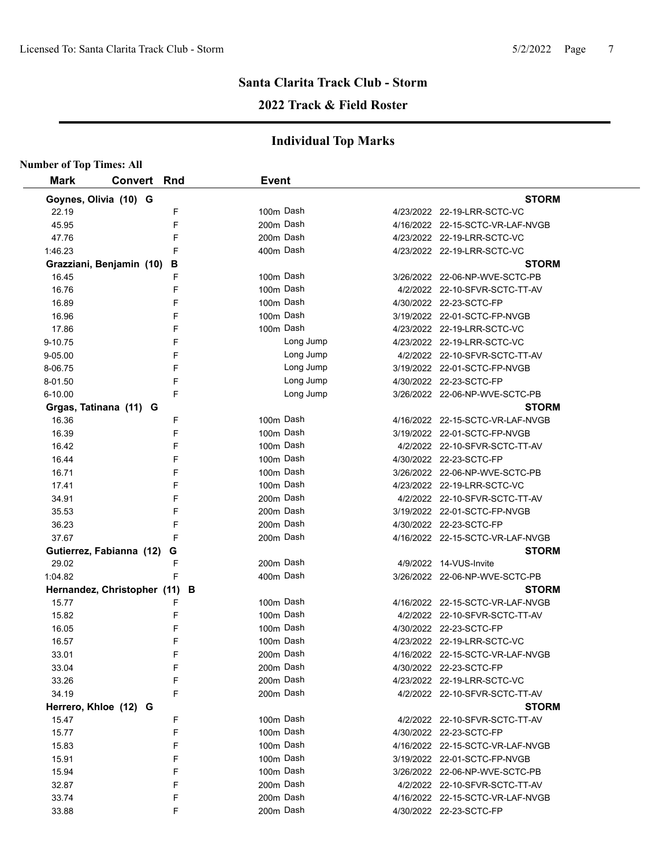## **2022 Track & Field Roster**

| <b>Number of Top Times: All</b> |                             |        |              |                        |                                  |
|---------------------------------|-----------------------------|--------|--------------|------------------------|----------------------------------|
| <b>Mark</b>                     | Convert Rnd                 |        | <b>Event</b> |                        |                                  |
| Goynes, Olivia (10) G           |                             |        |              |                        | <b>STORM</b>                     |
| 22.19                           |                             | F      |              | 100m Dash              | 4/23/2022 22-19-LRR-SCTC-VC      |
| 45.95                           |                             | F      |              | 200m Dash              | 4/16/2022 22-15-SCTC-VR-LAF-NVGB |
| 47.76                           |                             | F      |              | 200m Dash              | 4/23/2022 22-19-LRR-SCTC-VC      |
| 1:46.23                         |                             | F      |              | 400m Dash              | 4/23/2022 22-19-LRR-SCTC-VC      |
|                                 | Grazziani, Benjamin (10)    | В      |              |                        | <b>STORM</b>                     |
| 16.45                           |                             | F      |              | 100m Dash              | 3/26/2022 22-06-NP-WVE-SCTC-PB   |
| 16.76                           |                             | F      |              | 100m Dash              | 4/2/2022 22-10-SFVR-SCTC-TT-AV   |
| 16.89                           |                             | F      |              | 100m Dash              | 4/30/2022 22-23-SCTC-FP          |
| 16.96                           |                             | F      |              | 100m Dash              | 3/19/2022 22-01-SCTC-FP-NVGB     |
| 17.86                           |                             | F      |              | 100m Dash              | 4/23/2022 22-19-LRR-SCTC-VC      |
| 9-10.75                         |                             | F      |              | Long Jump              | 4/23/2022 22-19-LRR-SCTC-VC      |
| 9-05.00                         |                             | F      |              | Long Jump              | 4/2/2022 22-10-SFVR-SCTC-TT-AV   |
| 8-06.75                         |                             | F      |              | Long Jump              | 3/19/2022 22-01-SCTC-FP-NVGB     |
| 8-01.50                         |                             | F      |              | Long Jump              | 4/30/2022 22-23-SCTC-FP          |
| 6-10.00                         |                             | F      |              | Long Jump              | 3/26/2022 22-06-NP-WVE-SCTC-PB   |
|                                 | Grgas, Tatinana (11) G      |        |              |                        | <b>STORM</b>                     |
| 16.36                           |                             | F      |              | 100m Dash              | 4/16/2022 22-15-SCTC-VR-LAF-NVGB |
| 16.39                           |                             | F      |              | 100m Dash              | 3/19/2022 22-01-SCTC-FP-NVGB     |
| 16.42                           |                             | F      |              | 100m Dash              | 4/2/2022 22-10-SFVR-SCTC-TT-AV   |
| 16.44                           |                             | F      |              | 100m Dash              | 4/30/2022 22-23-SCTC-FP          |
| 16.71                           |                             | F      |              | 100m Dash              | 3/26/2022 22-06-NP-WVE-SCTC-PB   |
| 17.41                           |                             | F      |              | 100m Dash              | 4/23/2022 22-19-LRR-SCTC-VC      |
| 34.91                           |                             | F      |              | 200m Dash              | 4/2/2022 22-10-SFVR-SCTC-TT-AV   |
| 35.53                           |                             | F      |              | 200m Dash              | 3/19/2022 22-01-SCTC-FP-NVGB     |
| 36.23                           |                             | F      |              | 200m Dash              | 4/30/2022 22-23-SCTC-FP          |
| 37.67                           |                             | F      |              | 200m Dash              | 4/16/2022 22-15-SCTC-VR-LAF-NVGB |
|                                 | Gutierrez, Fabianna (12)    | G      |              |                        | <b>STORM</b>                     |
| 29.02                           |                             | F      |              | 200m Dash              | 4/9/2022 14-VUS-Invite           |
| 1:04.82                         |                             | F      |              | 400m Dash              | 3/26/2022 22-06-NP-WVE-SCTC-PB   |
|                                 | Hernandez, Christopher (11) |        | В            |                        | <b>STORM</b>                     |
| 15.77                           |                             | F      |              | 100m Dash              | 4/16/2022 22-15-SCTC-VR-LAF-NVGB |
| 15.82                           |                             | F      |              | 100m Dash              | 4/2/2022 22-10-SFVR-SCTC-TT-AV   |
| 16.05                           |                             | F      |              | 100m Dash              | 4/30/2022 22-23-SCTC-FP          |
| 16.57                           |                             | F      |              | 100m Dash              | 4/23/2022 22-19-LRR-SCTC-VC      |
| 33.01                           |                             | F      |              | 200m Dash              | 4/16/2022 22-15-SCTC-VR-LAF-NVGB |
| 33.04                           |                             | F      |              | 200m Dash              | 4/30/2022 22-23-SCTC-FP          |
| 33.26                           |                             | F      |              | 200m Dash              | 4/23/2022 22-19-LRR-SCTC-VC      |
| 34.19                           |                             | F      |              | 200m Dash              | 4/2/2022 22-10-SFVR-SCTC-TT-AV   |
|                                 | Herrero, Khloe (12) G       |        |              |                        | <b>STORM</b>                     |
| 15.47                           |                             | F      |              | 100m Dash              | 4/2/2022 22-10-SFVR-SCTC-TT-AV   |
| 15.77                           |                             | F      |              | 100m Dash              | 4/30/2022 22-23-SCTC-FP          |
| 15.83                           |                             | F      |              | 100m Dash              | 4/16/2022 22-15-SCTC-VR-LAF-NVGB |
| 15.91                           |                             | F      |              | 100m Dash              | 3/19/2022 22-01-SCTC-FP-NVGB     |
| 15.94                           |                             | F      |              | 100m Dash<br>200m Dash | 3/26/2022 22-06-NP-WVE-SCTC-PB   |
| 32.87                           |                             | F      |              | 200m Dash              | 4/2/2022 22-10-SFVR-SCTC-TT-AV   |
| 33.74                           |                             | F<br>F |              | 200m Dash              | 4/16/2022 22-15-SCTC-VR-LAF-NVGB |
| 33.88                           |                             |        |              |                        | 4/30/2022 22-23-SCTC-FP          |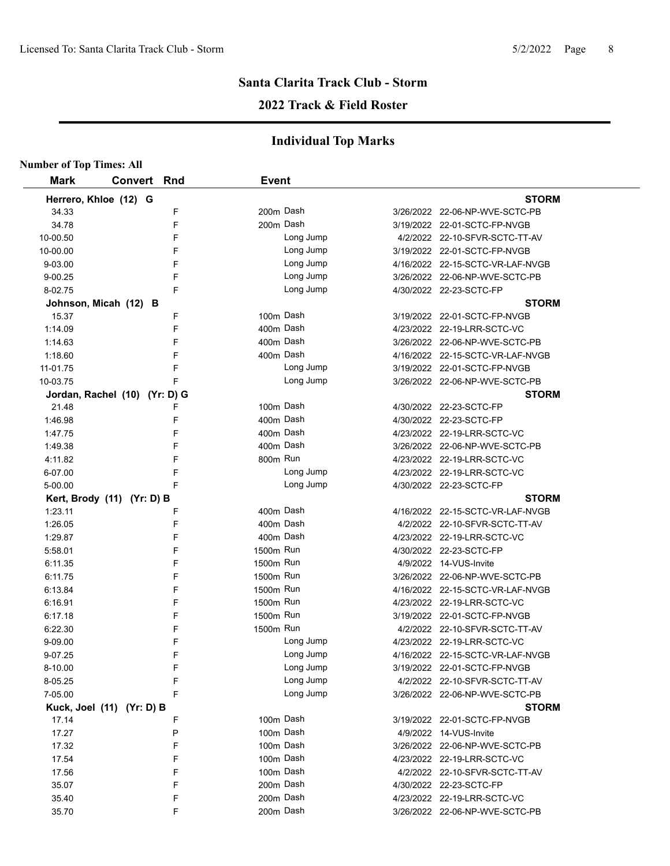## **2022 Track & Field Roster**

| <b>Number of Top Times: All</b> |                               |   |              |           |                                  |
|---------------------------------|-------------------------------|---|--------------|-----------|----------------------------------|
| <b>Mark</b>                     | <b>Convert Rnd</b>            |   | <b>Event</b> |           |                                  |
|                                 | Herrero, Khloe (12) G         |   |              |           | <b>STORM</b>                     |
| 34.33                           |                               | F | 200m Dash    |           | 3/26/2022 22-06-NP-WVE-SCTC-PB   |
| 34.78                           |                               | F | 200m Dash    |           | 3/19/2022 22-01-SCTC-FP-NVGB     |
| 10-00.50                        |                               | F |              | Long Jump | 4/2/2022 22-10-SFVR-SCTC-TT-AV   |
| 10-00.00                        |                               | F |              | Long Jump | 3/19/2022 22-01-SCTC-FP-NVGB     |
| 9-03.00                         |                               | F |              | Long Jump | 4/16/2022 22-15-SCTC-VR-LAF-NVGB |
| 9-00.25                         |                               | F |              | Long Jump | 3/26/2022 22-06-NP-WVE-SCTC-PB   |
| 8-02.75                         |                               | F |              | Long Jump | 4/30/2022 22-23-SCTC-FP          |
|                                 | Johnson, Micah (12) B         |   |              |           | <b>STORM</b>                     |
| 15.37                           |                               | F | 100m Dash    |           | 3/19/2022 22-01-SCTC-FP-NVGB     |
| 1:14.09                         |                               | F | 400m Dash    |           | 4/23/2022 22-19-LRR-SCTC-VC      |
| 1:14.63                         |                               | F | 400m Dash    |           | 3/26/2022 22-06-NP-WVE-SCTC-PB   |
| 1:18.60                         |                               | F |              | 400m Dash | 4/16/2022 22-15-SCTC-VR-LAF-NVGB |
| 11-01.75                        |                               | F |              | Long Jump | 3/19/2022 22-01-SCTC-FP-NVGB     |
| 10-03.75                        |                               | F |              | Long Jump | 3/26/2022 22-06-NP-WVE-SCTC-PB   |
|                                 | Jordan, Rachel (10) (Yr: D) G |   |              |           | <b>STORM</b>                     |
| 21.48                           |                               | F | 100m Dash    |           | 4/30/2022 22-23-SCTC-FP          |
| 1:46.98                         |                               | F | 400m Dash    |           | 4/30/2022 22-23-SCTC-FP          |
| 1:47.75                         |                               | F | 400m Dash    |           | 4/23/2022 22-19-LRR-SCTC-VC      |
| 1:49.38                         |                               | F | 400m Dash    |           | 3/26/2022 22-06-NP-WVE-SCTC-PB   |
| 4:11.82                         |                               | F | 800m Run     |           | 4/23/2022 22-19-LRR-SCTC-VC      |
| 6-07.00                         |                               | F |              | Long Jump | 4/23/2022 22-19-LRR-SCTC-VC      |
| 5-00.00                         |                               | F |              | Long Jump | 4/30/2022 22-23-SCTC-FP          |
|                                 | Kert, Brody (11) (Yr: D) B    |   |              |           | <b>STORM</b>                     |
| 1:23.11                         |                               | F | 400m Dash    |           | 4/16/2022 22-15-SCTC-VR-LAF-NVGB |
| 1:26.05                         |                               | F | 400m Dash    |           | 4/2/2022 22-10-SFVR-SCTC-TT-AV   |
| 1:29.87                         |                               | F | 400m Dash    |           | 4/23/2022 22-19-LRR-SCTC-VC      |
| 5:58.01                         |                               | F | 1500m Run    |           | 4/30/2022 22-23-SCTC-FP          |
| 6:11.35                         |                               | F | 1500m Run    |           | 4/9/2022 14-VUS-Invite           |
| 6:11.75                         |                               | F | 1500m Run    |           | 3/26/2022 22-06-NP-WVE-SCTC-PB   |
| 6:13.84                         |                               | F | 1500m Run    |           | 4/16/2022 22-15-SCTC-VR-LAF-NVGB |
| 6:16.91                         |                               | F | 1500m Run    |           | 4/23/2022 22-19-LRR-SCTC-VC      |
| 6:17.18                         |                               | F | 1500m Run    |           | 3/19/2022 22-01-SCTC-FP-NVGB     |
| 6:22.30                         |                               | F | 1500m Run    |           | 4/2/2022 22-10-SFVR-SCTC-TT-AV   |
| 9-09.00                         |                               | F |              | Long Jump | 4/23/2022 22-19-LRR-SCTC-VC      |
| 9-07.25                         |                               | F |              | Long Jump | 4/16/2022 22-15-SCTC-VR-LAF-NVGB |
| 8-10.00                         |                               | F |              | Long Jump | 3/19/2022 22-01-SCTC-FP-NVGB     |
| 8-05.25                         |                               | F |              | Long Jump | 4/2/2022 22-10-SFVR-SCTC-TT-AV   |
| 7-05.00                         |                               | F |              | Long Jump | 3/26/2022 22-06-NP-WVE-SCTC-PB   |
|                                 | Kuck, Joel (11) (Yr: D) B     |   |              |           | <b>STORM</b>                     |
| 17.14                           |                               | F | 100m Dash    |           | 3/19/2022 22-01-SCTC-FP-NVGB     |
| 17.27                           |                               | P |              | 100m Dash | 4/9/2022 14-VUS-Invite           |
| 17.32                           |                               | F |              | 100m Dash | 3/26/2022 22-06-NP-WVE-SCTC-PB   |
| 17.54                           |                               | F |              | 100m Dash | 4/23/2022 22-19-LRR-SCTC-VC      |
| 17.56                           |                               | F |              | 100m Dash | 4/2/2022 22-10-SFVR-SCTC-TT-AV   |
| 35.07                           |                               | F |              | 200m Dash | 4/30/2022 22-23-SCTC-FP          |
| 35.40                           |                               | F |              | 200m Dash | 4/23/2022 22-19-LRR-SCTC-VC      |
| 35.70                           |                               | F |              | 200m Dash | 3/26/2022 22-06-NP-WVE-SCTC-PB   |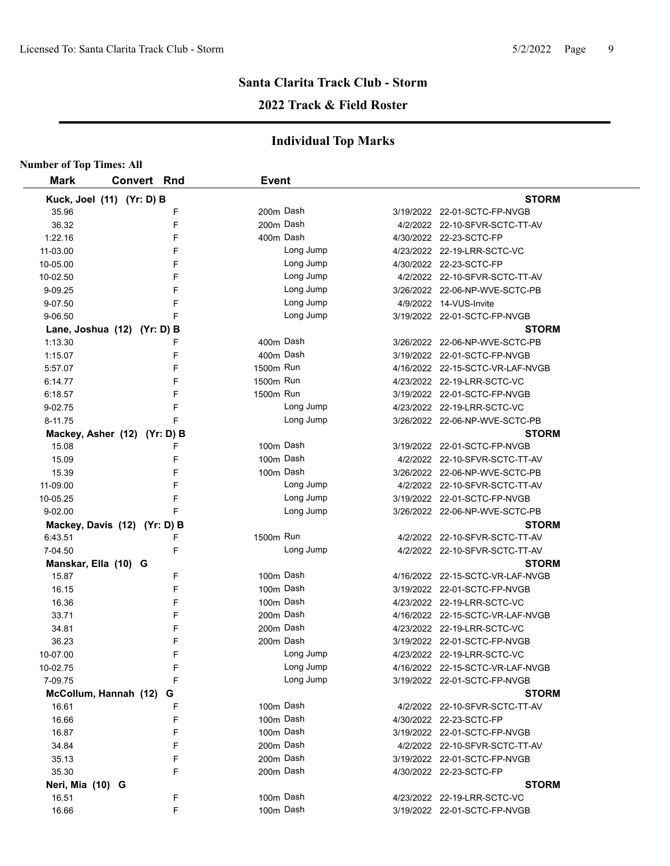#### **2022 Track & Field Roster**

| <b>Number of Top Times: All</b> |                    |   |              |           |                                  |
|---------------------------------|--------------------|---|--------------|-----------|----------------------------------|
| <b>Mark</b>                     | <b>Convert Rnd</b> |   | <b>Event</b> |           |                                  |
| Kuck, Joel (11) (Yr: D) B       |                    |   |              |           | <b>STORM</b>                     |
| 35.96                           |                    | F |              | 200m Dash | 3/19/2022 22-01-SCTC-FP-NVGB     |
| 36.32                           |                    | F |              | 200m Dash | 4/2/2022 22-10-SFVR-SCTC-TT-AV   |
| 1:22.16                         |                    | F |              | 400m Dash | 4/30/2022 22-23-SCTC-FP          |
| 11-03.00                        |                    | F |              | Long Jump | 4/23/2022 22-19-LRR-SCTC-VC      |
| 10-05.00                        |                    | F |              | Long Jump | 4/30/2022 22-23-SCTC-FP          |
| 10-02.50                        |                    | F |              | Long Jump | 4/2/2022 22-10-SFVR-SCTC-TT-AV   |
| 9-09.25                         |                    | F |              | Long Jump | 3/26/2022 22-06-NP-WVE-SCTC-PB   |
| 9-07.50                         |                    | F |              | Long Jump | 4/9/2022 14-VUS-Invite           |
| 9-06.50                         |                    | F |              | Long Jump | 3/19/2022 22-01-SCTC-FP-NVGB     |
| Lane, Joshua (12) (Yr: D) B     |                    |   |              |           | <b>STORM</b>                     |
| 1:13.30                         |                    | F | 400m Dash    |           | 3/26/2022 22-06-NP-WVE-SCTC-PB   |
| 1:15.07                         |                    | F | 400m Dash    |           | 3/19/2022 22-01-SCTC-FP-NVGB     |
| 5:57.07                         |                    | F | 1500m Run    |           | 4/16/2022 22-15-SCTC-VR-LAF-NVGB |
| 6:14.77                         |                    | F | 1500m Run    |           | 4/23/2022 22-19-LRR-SCTC-VC      |
| 6:18.57                         |                    | F | 1500m Run    |           | 3/19/2022 22-01-SCTC-FP-NVGB     |
| 9-02.75                         |                    | F |              | Long Jump | 4/23/2022 22-19-LRR-SCTC-VC      |
| 8-11.75                         |                    | F |              | Long Jump | 3/26/2022 22-06-NP-WVE-SCTC-PB   |
| Mackey, Asher (12) (Yr: D) B    |                    |   |              |           | <b>STORM</b>                     |
| 15.08                           |                    | F |              | 100m Dash | 3/19/2022 22-01-SCTC-FP-NVGB     |
| 15.09                           |                    | F |              | 100m Dash | 4/2/2022 22-10-SFVR-SCTC-TT-AV   |
| 15.39                           |                    | F |              | 100m Dash | 3/26/2022 22-06-NP-WVE-SCTC-PB   |
| 11-09.00                        |                    | F |              | Long Jump | 4/2/2022 22-10-SFVR-SCTC-TT-AV   |
| 10-05.25                        |                    | F |              | Long Jump | 3/19/2022 22-01-SCTC-FP-NVGB     |
| 9-02.00                         |                    | F |              | Long Jump | 3/26/2022 22-06-NP-WVE-SCTC-PB   |
| Mackey, Davis (12) (Yr: D) B    |                    |   |              |           | <b>STORM</b>                     |
| 6:43.51                         |                    | F | 1500m Run    |           | 4/2/2022 22-10-SFVR-SCTC-TT-AV   |
| 7-04.50                         |                    | F |              | Long Jump | 4/2/2022 22-10-SFVR-SCTC-TT-AV   |
| Manskar, Ella (10) G            |                    |   |              |           | <b>STORM</b>                     |
| 15.87                           |                    | F |              | 100m Dash | 4/16/2022 22-15-SCTC-VR-LAF-NVGB |
| 16.15                           |                    | F |              | 100m Dash | 3/19/2022 22-01-SCTC-FP-NVGB     |
| 16.36                           |                    | F |              | 100m Dash | 4/23/2022 22-19-LRR-SCTC-VC      |
| 33.71                           |                    | F |              | 200m Dash | 4/16/2022 22-15-SCTC-VR-LAF-NVGB |
| 34.81                           |                    | F |              | 200m Dash | 4/23/2022 22-19-LRR-SCTC-VC      |
| 36.23                           |                    | F |              | 200m Dash | 3/19/2022 22-01-SCTC-FP-NVGB     |
| 10-07.00                        |                    | F |              | Long Jump | 4/23/2022 22-19-LRR-SCTC-VC      |
| 10-02.75                        |                    | F |              | Long Jump | 4/16/2022 22-15-SCTC-VR-LAF-NVGB |
| 7-09.75                         |                    | F |              | Long Jump | 3/19/2022 22-01-SCTC-FP-NVGB     |
| McCollum, Hannah (12)           |                    | G |              |           | <b>STORM</b>                     |
| 16.61                           |                    | F |              | 100m Dash | 4/2/2022 22-10-SFVR-SCTC-TT-AV   |
| 16.66                           |                    | F |              | 100m Dash | 4/30/2022 22-23-SCTC-FP          |
| 16.87                           |                    | F |              | 100m Dash | 3/19/2022 22-01-SCTC-FP-NVGB     |
| 34.84                           |                    | F |              | 200m Dash | 4/2/2022 22-10-SFVR-SCTC-TT-AV   |
| 35.13                           |                    | F |              | 200m Dash | 3/19/2022 22-01-SCTC-FP-NVGB     |
| 35.30                           |                    | F |              | 200m Dash | 4/30/2022 22-23-SCTC-FP          |
| Neri, Mia (10) G                |                    |   |              |           | <b>STORM</b>                     |
| 16.51                           |                    | F |              | 100m Dash | 4/23/2022 22-19-LRR-SCTC-VC      |
| 16.66                           |                    | F |              | 100m Dash | 3/19/2022 22-01-SCTC-FP-NVGB     |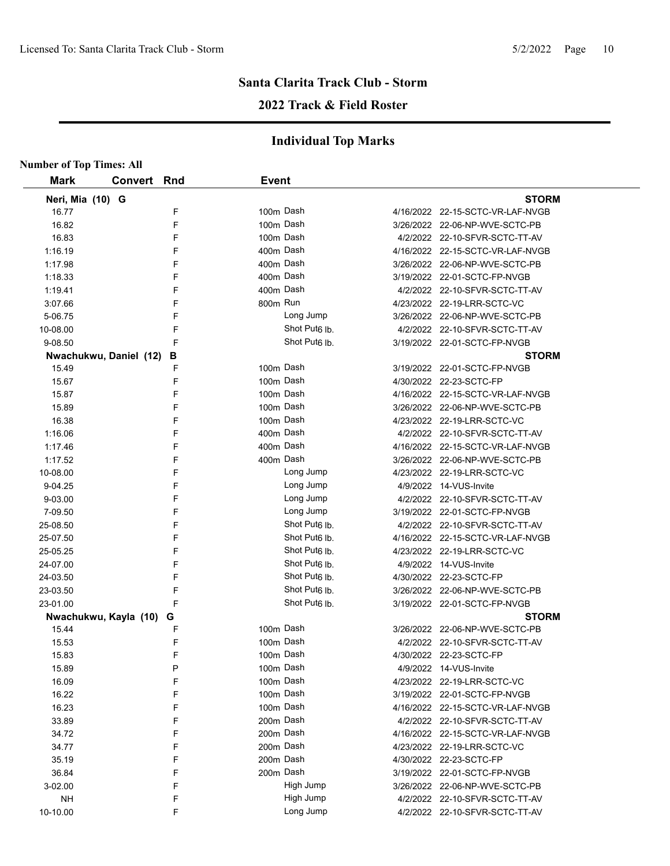## **Santa Clarita Track Club - Storm 2022 Track & Field Roster**

| <b>Number of Top Times: All</b> |                        |   |              |                           |                                  |
|---------------------------------|------------------------|---|--------------|---------------------------|----------------------------------|
| <b>Mark</b>                     | <b>Convert Rnd</b>     |   | <b>Event</b> |                           |                                  |
| Neri, Mia (10) G                |                        |   |              |                           | <b>STORM</b>                     |
| 16.77                           |                        | F | 100m Dash    |                           | 4/16/2022 22-15-SCTC-VR-LAF-NVGB |
| 16.82                           |                        | F | 100m Dash    |                           | 3/26/2022 22-06-NP-WVE-SCTC-PB   |
| 16.83                           |                        | F | 100m Dash    |                           | 4/2/2022 22-10-SFVR-SCTC-TT-AV   |
| 1:16.19                         |                        | F | 400m Dash    |                           | 4/16/2022 22-15-SCTC-VR-LAF-NVGB |
| 1:17.98                         |                        | F | 400m Dash    |                           | 3/26/2022 22-06-NP-WVE-SCTC-PB   |
| 1:18.33                         |                        | F | 400m Dash    |                           | 3/19/2022 22-01-SCTC-FP-NVGB     |
| 1:19.41                         |                        | F | 400m Dash    |                           | 4/2/2022 22-10-SFVR-SCTC-TT-AV   |
| 3:07.66                         |                        | F | 800m Run     |                           | 4/23/2022 22-19-LRR-SCTC-VC      |
| 5-06.75                         |                        | F |              | Long Jump                 | 3/26/2022 22-06-NP-WVE-SCTC-PB   |
| 10-08.00                        |                        | F |              | Shot Put <sub>6</sub> lb. | 4/2/2022 22-10-SFVR-SCTC-TT-AV   |
| 9-08.50                         |                        | F |              | Shot Put <sub>6</sub> Ib. | 3/19/2022 22-01-SCTC-FP-NVGB     |
|                                 | Nwachukwu, Daniel (12) | в |              |                           | <b>STORM</b>                     |
| 15.49                           |                        | F | 100m Dash    |                           | 3/19/2022 22-01-SCTC-FP-NVGB     |
| 15.67                           |                        | F | 100m Dash    |                           | 4/30/2022 22-23-SCTC-FP          |
| 15.87                           |                        | F | 100m Dash    |                           | 4/16/2022 22-15-SCTC-VR-LAF-NVGB |
| 15.89                           |                        | F | 100m Dash    |                           | 3/26/2022 22-06-NP-WVE-SCTC-PB   |
| 16.38                           |                        | F | 100m Dash    |                           | 4/23/2022 22-19-LRR-SCTC-VC      |
| 1:16.06                         |                        | F | 400m Dash    |                           | 4/2/2022 22-10-SFVR-SCTC-TT-AV   |
| 1:17.46                         |                        | F | 400m Dash    |                           | 4/16/2022 22-15-SCTC-VR-LAF-NVGB |
| 1:17.52                         |                        | F | 400m Dash    |                           | 3/26/2022 22-06-NP-WVE-SCTC-PB   |
| 10-08.00                        |                        | F |              | Long Jump                 | 4/23/2022 22-19-LRR-SCTC-VC      |
| 9-04.25                         |                        | F |              | Long Jump                 | 4/9/2022 14-VUS-Invite           |
| 9-03.00                         |                        | F |              | Long Jump                 | 4/2/2022 22-10-SFVR-SCTC-TT-AV   |
| 7-09.50                         |                        | F |              | Long Jump                 | 3/19/2022 22-01-SCTC-FP-NVGB     |
| 25-08.50                        |                        | F |              | Shot Put <sub>6</sub> lb. | 4/2/2022 22-10-SFVR-SCTC-TT-AV   |
| 25-07.50                        |                        | F |              | Shot Put6 lb.             | 4/16/2022 22-15-SCTC-VR-LAF-NVGB |
| 25-05.25                        |                        | F |              | Shot Put6 lb.             | 4/23/2022 22-19-LRR-SCTC-VC      |
| 24-07.00                        |                        | F |              | Shot Put6 lb.             | 4/9/2022 14-VUS-Invite           |
| 24-03.50                        |                        | F |              | Shot Put <sub>6</sub> Ib. | 4/30/2022 22-23-SCTC-FP          |
| 23-03.50                        |                        | F |              | Shot Put <sub>6</sub> lb. | 3/26/2022 22-06-NP-WVE-SCTC-PB   |
| 23-01.00                        |                        | F |              | Shot Put <sub>6</sub> lb. | 3/19/2022 22-01-SCTC-FP-NVGB     |
|                                 | Nwachukwu, Kayla (10)  | G |              |                           | <b>STORM</b>                     |
| 15.44                           |                        | F | 100m Dash    |                           | 3/26/2022 22-06-NP-WVE-SCTC-PB   |
| 15.53                           |                        | F | 100m Dash    |                           | 4/2/2022 22-10-SFVR-SCTC-TT-AV   |
| 15.83                           |                        | F | 100m Dash    |                           | 4/30/2022 22-23-SCTC-FP          |
| 15.89                           |                        | P | 100m Dash    |                           | 4/9/2022 14-VUS-Invite           |
| 16.09                           |                        | F | 100m Dash    |                           | 4/23/2022 22-19-LRR-SCTC-VC      |
| 16.22                           |                        | F | 100m Dash    |                           | 3/19/2022 22-01-SCTC-FP-NVGB     |
| 16.23                           |                        | F | 100m Dash    |                           | 4/16/2022 22-15-SCTC-VR-LAF-NVGB |
| 33.89                           |                        | F | 200m Dash    |                           | 4/2/2022 22-10-SFVR-SCTC-TT-AV   |
| 34.72                           |                        | F | 200m Dash    |                           | 4/16/2022 22-15-SCTC-VR-LAF-NVGB |
| 34.77                           |                        | F | 200m Dash    |                           | 4/23/2022 22-19-LRR-SCTC-VC      |
| 35.19                           |                        | F | 200m Dash    |                           | 4/30/2022 22-23-SCTC-FP          |
| 36.84                           |                        | F |              | 200m Dash                 | 3/19/2022 22-01-SCTC-FP-NVGB     |
| 3-02.00                         |                        | F |              | High Jump                 | 3/26/2022 22-06-NP-WVE-SCTC-PB   |
| <b>NH</b>                       |                        | F |              | High Jump                 | 4/2/2022 22-10-SFVR-SCTC-TT-AV   |
| 10-10.00                        |                        | F |              | Long Jump                 | 4/2/2022 22-10-SFVR-SCTC-TT-AV   |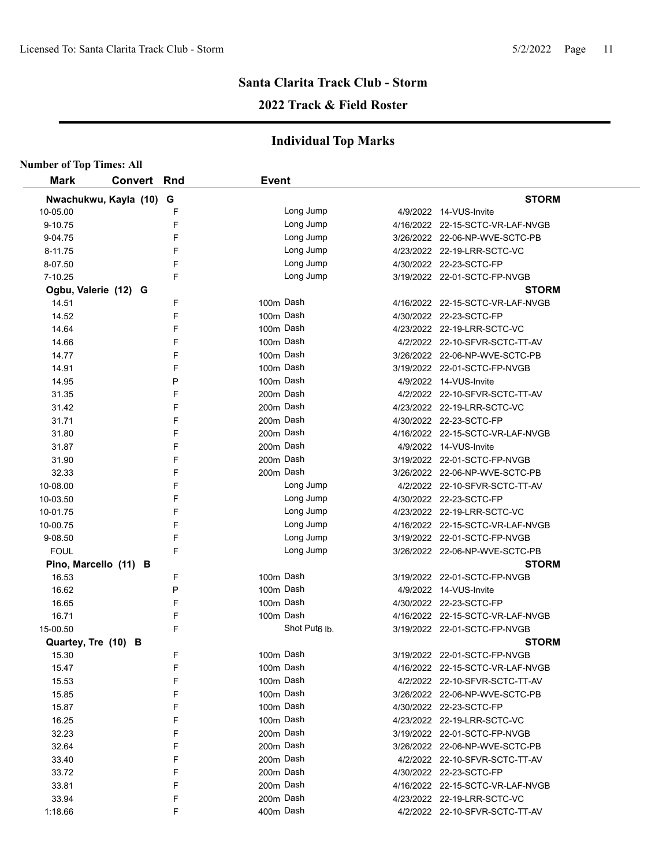### **2022 Track & Field Roster**

| <b>Number of Top Times: All</b> |                       |   |              |                           |                                  |
|---------------------------------|-----------------------|---|--------------|---------------------------|----------------------------------|
| <b>Mark</b>                     | <b>Convert Rnd</b>    |   | <b>Event</b> |                           |                                  |
|                                 | Nwachukwu, Kayla (10) | G |              |                           | <b>STORM</b>                     |
| 10-05.00                        |                       | F |              | Long Jump                 | 4/9/2022 14-VUS-Invite           |
| 9-10.75                         |                       | F |              | Long Jump                 | 4/16/2022 22-15-SCTC-VR-LAF-NVGB |
| 9-04.75                         |                       | F |              | Long Jump                 | 3/26/2022 22-06-NP-WVE-SCTC-PB   |
| 8-11.75                         |                       | F |              | Long Jump                 | 4/23/2022 22-19-LRR-SCTC-VC      |
| 8-07.50                         |                       | F |              | Long Jump                 | 4/30/2022 22-23-SCTC-FP          |
| 7-10.25                         |                       | F |              | Long Jump                 | 3/19/2022 22-01-SCTC-FP-NVGB     |
| Ogbu, Valerie (12) G            |                       |   |              |                           | <b>STORM</b>                     |
| 14.51                           |                       | F |              | 100m Dash                 | 4/16/2022 22-15-SCTC-VR-LAF-NVGB |
| 14.52                           |                       | F |              | 100m Dash                 | 4/30/2022 22-23-SCTC-FP          |
| 14.64                           |                       | F |              | 100m Dash                 | 4/23/2022 22-19-LRR-SCTC-VC      |
| 14.66                           |                       | F |              | 100m Dash                 | 4/2/2022 22-10-SFVR-SCTC-TT-AV   |
| 14.77                           |                       | F |              | 100m Dash                 | 3/26/2022 22-06-NP-WVE-SCTC-PB   |
| 14.91                           |                       | F |              | 100m Dash                 | 3/19/2022 22-01-SCTC-FP-NVGB     |
| 14.95                           |                       | P |              | 100m Dash                 | 4/9/2022 14-VUS-Invite           |
| 31.35                           |                       | F |              | 200m Dash                 | 4/2/2022 22-10-SFVR-SCTC-TT-AV   |
| 31.42                           |                       | F |              | 200m Dash                 | 4/23/2022 22-19-LRR-SCTC-VC      |
| 31.71                           |                       | F |              | 200m Dash                 | 4/30/2022 22-23-SCTC-FP          |
| 31.80                           |                       | F |              | 200m Dash                 | 4/16/2022 22-15-SCTC-VR-LAF-NVGB |
| 31.87                           |                       | F |              | 200m Dash                 | 4/9/2022 14-VUS-Invite           |
| 31.90                           |                       | F |              | 200m Dash                 | 3/19/2022 22-01-SCTC-FP-NVGB     |
| 32.33                           |                       | F |              | 200m Dash                 | 3/26/2022 22-06-NP-WVE-SCTC-PB   |
| 10-08.00                        |                       | F |              | Long Jump                 | 4/2/2022 22-10-SFVR-SCTC-TT-AV   |
| 10-03.50                        |                       | F |              | Long Jump                 | 4/30/2022 22-23-SCTC-FP          |
| 10-01.75                        |                       | F |              | Long Jump                 | 4/23/2022 22-19-LRR-SCTC-VC      |
| 10-00.75                        |                       | F |              | Long Jump                 | 4/16/2022 22-15-SCTC-VR-LAF-NVGB |
| 9-08.50                         |                       | F |              | Long Jump                 | 3/19/2022 22-01-SCTC-FP-NVGB     |
| <b>FOUL</b>                     |                       | F |              | Long Jump                 | 3/26/2022 22-06-NP-WVE-SCTC-PB   |
|                                 | Pino, Marcello (11) B |   |              |                           | <b>STORM</b>                     |
| 16.53                           |                       | F |              | 100m Dash                 | 3/19/2022 22-01-SCTC-FP-NVGB     |
| 16.62                           |                       | P |              | 100m Dash                 | 4/9/2022 14-VUS-Invite           |
| 16.65                           |                       | F |              | 100m Dash                 | 4/30/2022 22-23-SCTC-FP          |
| 16.71                           |                       | F |              | 100m Dash                 | 4/16/2022 22-15-SCTC-VR-LAF-NVGB |
| 15-00.50                        |                       | F |              | Shot Put <sub>6</sub> lb. | 3/19/2022 22-01-SCTC-FP-NVGB     |
| Quartey, Tre (10) B             |                       |   |              |                           | <b>STORM</b>                     |
| 15.30                           |                       | F |              | 100m Dash                 | 3/19/2022 22-01-SCTC-FP-NVGB     |
| 15.47                           |                       | F |              | 100m Dash                 | 4/16/2022 22-15-SCTC-VR-LAF-NVGB |
| 15.53                           |                       | F |              | 100m Dash                 | 4/2/2022 22-10-SFVR-SCTC-TT-AV   |
| 15.85                           |                       | F |              | 100m Dash                 | 3/26/2022 22-06-NP-WVE-SCTC-PB   |
| 15.87                           |                       | F |              | 100m Dash                 | 4/30/2022 22-23-SCTC-FP          |
| 16.25                           |                       | F |              | 100m Dash                 | 4/23/2022 22-19-LRR-SCTC-VC      |
| 32.23                           |                       | F |              | 200m Dash                 | 3/19/2022 22-01-SCTC-FP-NVGB     |
| 32.64                           |                       | F |              | 200m Dash                 | 3/26/2022 22-06-NP-WVE-SCTC-PB   |
| 33.40                           |                       | F |              | 200m Dash                 | 4/2/2022 22-10-SFVR-SCTC-TT-AV   |
| 33.72                           |                       | F |              | 200m Dash                 | 4/30/2022 22-23-SCTC-FP          |
| 33.81                           |                       | F |              | 200m Dash                 | 4/16/2022 22-15-SCTC-VR-LAF-NVGB |
| 33.94                           |                       | F |              | 200m Dash                 | 4/23/2022 22-19-LRR-SCTC-VC      |
| 1:18.66                         |                       | F |              | 400m Dash                 | 4/2/2022 22-10-SFVR-SCTC-TT-AV   |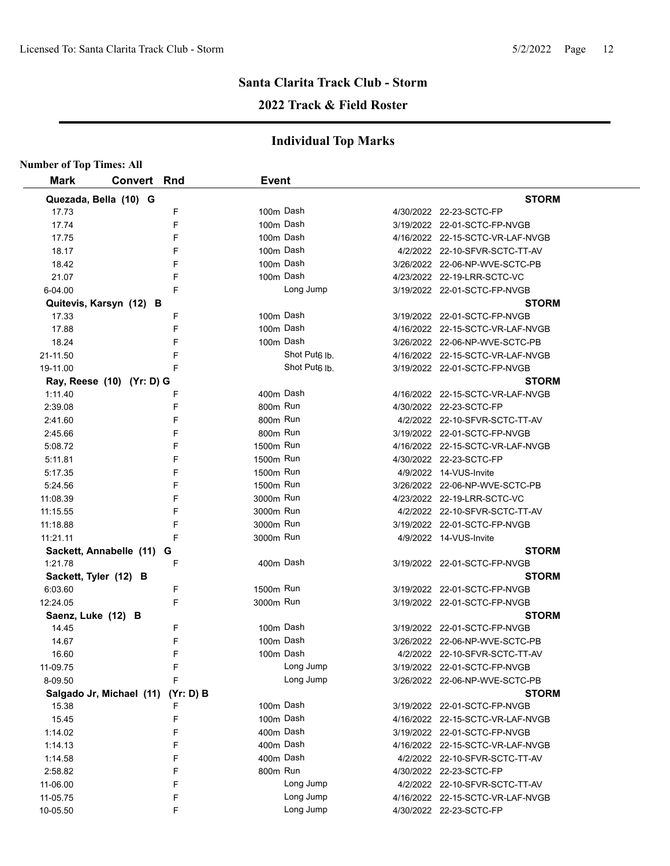## **2022 Track & Field Roster**

| <b>Number of Top Times: All</b> |                                    |        |              |                           |                                              |
|---------------------------------|------------------------------------|--------|--------------|---------------------------|----------------------------------------------|
| <b>Mark</b>                     | <b>Convert Rnd</b>                 |        | <b>Event</b> |                           |                                              |
|                                 | Quezada, Bella (10) G              |        |              |                           | <b>STORM</b>                                 |
| 17.73                           |                                    | F      |              | 100m Dash                 | 4/30/2022 22-23-SCTC-FP                      |
| 17.74                           |                                    | F      |              | 100m Dash                 | 3/19/2022 22-01-SCTC-FP-NVGB                 |
| 17.75                           |                                    | F      |              | 100m Dash                 | 4/16/2022 22-15-SCTC-VR-LAF-NVGB             |
| 18.17                           |                                    | F      |              | 100m Dash                 | 4/2/2022 22-10-SFVR-SCTC-TT-AV               |
| 18.42                           |                                    | F      |              | 100m Dash                 | 3/26/2022 22-06-NP-WVE-SCTC-PB               |
| 21.07                           |                                    | F      |              | 100m Dash                 | 4/23/2022 22-19-LRR-SCTC-VC                  |
| 6-04.00                         |                                    | F      |              | Long Jump                 | 3/19/2022 22-01-SCTC-FP-NVGB                 |
|                                 | Quitevis, Karsyn (12) B            |        |              |                           | <b>STORM</b>                                 |
| 17.33                           |                                    | F      |              | 100m Dash                 | 3/19/2022 22-01-SCTC-FP-NVGB                 |
| 17.88                           |                                    | F      |              | 100m Dash                 | 4/16/2022 22-15-SCTC-VR-LAF-NVGB             |
| 18.24                           |                                    | F      |              | 100m Dash                 | 3/26/2022 22-06-NP-WVE-SCTC-PB               |
| 21-11.50                        |                                    | F      |              | Shot Put <sub>6</sub> lb. | 4/16/2022 22-15-SCTC-VR-LAF-NVGB             |
| 19-11.00                        |                                    | F      |              | Shot Put <sub>6</sub> lb. | 3/19/2022 22-01-SCTC-FP-NVGB                 |
|                                 | Ray, Reese (10) (Yr: D) G          |        |              |                           | <b>STORM</b>                                 |
| 1:11.40                         |                                    | F      |              | 400m Dash                 | 4/16/2022 22-15-SCTC-VR-LAF-NVGB             |
| 2:39.08                         |                                    | F      | 800m Run     |                           | 4/30/2022 22-23-SCTC-FP                      |
| 2:41.60                         |                                    | F      | 800m Run     |                           | 4/2/2022 22-10-SFVR-SCTC-TT-AV               |
| 2:45.66                         |                                    | F      | 800m Run     |                           | 3/19/2022 22-01-SCTC-FP-NVGB                 |
| 5:08.72                         |                                    | F      | 1500m Run    |                           | 4/16/2022 22-15-SCTC-VR-LAF-NVGB             |
| 5:11.81                         |                                    | F      | 1500m Run    |                           | 4/30/2022 22-23-SCTC-FP                      |
| 5:17.35                         |                                    | F      | 1500m Run    |                           | 4/9/2022 14-VUS-Invite                       |
| 5:24.56                         |                                    | F      | 1500m Run    |                           | 3/26/2022 22-06-NP-WVE-SCTC-PB               |
| 11:08.39                        |                                    | F      | 3000m Run    |                           | 4/23/2022 22-19-LRR-SCTC-VC                  |
| 11:15.55                        |                                    | F      | 3000m Run    |                           | 4/2/2022 22-10-SFVR-SCTC-TT-AV               |
| 11:18.88                        |                                    | F      | 3000m Run    |                           | 3/19/2022 22-01-SCTC-FP-NVGB                 |
| 11:21.11                        |                                    | F      | 3000m Run    |                           | 4/9/2022 14-VUS-Invite                       |
|                                 | Sackett, Annabelle (11)            | G      |              |                           | <b>STORM</b>                                 |
| 1:21.78                         |                                    | F      |              | 400m Dash                 | 3/19/2022 22-01-SCTC-FP-NVGB                 |
| Sackett, Tyler (12) B           |                                    |        |              |                           | <b>STORM</b>                                 |
| 6:03.60                         |                                    | F<br>F | 1500m Run    |                           | 3/19/2022 22-01-SCTC-FP-NVGB                 |
| 12:24.05                        |                                    |        | 3000m Run    |                           | 3/19/2022 22-01-SCTC-FP-NVGB<br><b>STORM</b> |
| Saenz, Luke (12) B<br>14.45     |                                    | F      |              | 100m Dash                 | 3/19/2022 22-01-SCTC-FP-NVGB                 |
| 14.67                           |                                    | F      |              | 100m Dash                 | 3/26/2022 22-06-NP-WVE-SCTC-PB               |
| 16.60                           |                                    | F      |              | 100m Dash                 | 4/2/2022 22-10-SFVR-SCTC-TT-AV               |
| 11-09.75                        |                                    | F      |              | Long Jump                 | 3/19/2022 22-01-SCTC-FP-NVGB                 |
| 8-09.50                         |                                    | F      |              | Long Jump                 | 3/26/2022 22-06-NP-WVE-SCTC-PB               |
|                                 | Salgado Jr, Michael (11) (Yr: D) B |        |              |                           | <b>STORM</b>                                 |
| 15.38                           |                                    | F      |              | 100m Dash                 | 3/19/2022 22-01-SCTC-FP-NVGB                 |
| 15.45                           |                                    | F      |              | 100m Dash                 | 4/16/2022 22-15-SCTC-VR-LAF-NVGB             |
| 1:14.02                         |                                    | F      |              | 400m Dash                 | 3/19/2022 22-01-SCTC-FP-NVGB                 |
| 1:14.13                         |                                    | F      |              | 400m Dash                 | 4/16/2022 22-15-SCTC-VR-LAF-NVGB             |
| 1:14.58                         |                                    | F      |              | 400m Dash                 | 4/2/2022 22-10-SFVR-SCTC-TT-AV               |
| 2:58.82                         |                                    | F      | 800m Run     |                           | 4/30/2022 22-23-SCTC-FP                      |
| 11-06.00                        |                                    | F      |              | Long Jump                 | 4/2/2022 22-10-SFVR-SCTC-TT-AV               |
| 11-05.75                        |                                    | F      |              | Long Jump                 | 4/16/2022 22-15-SCTC-VR-LAF-NVGB             |
| 10-05.50                        |                                    | F      |              | Long Jump                 | 4/30/2022 22-23-SCTC-FP                      |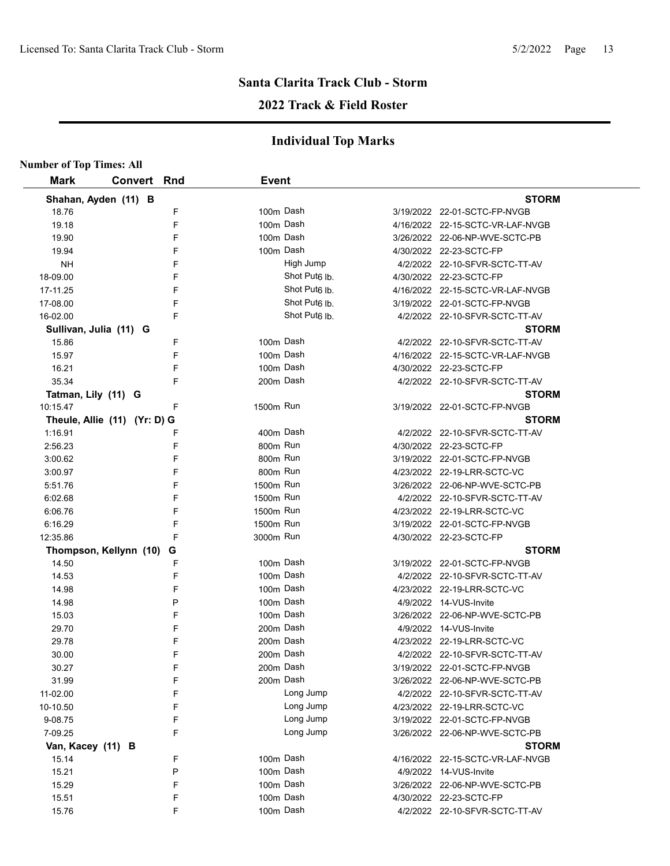## **2022 Track & Field Roster**

| <b>Number of Top Times: All</b> |                    |   |              |                           |                                  |
|---------------------------------|--------------------|---|--------------|---------------------------|----------------------------------|
| <b>Mark</b>                     | <b>Convert Rnd</b> |   | <b>Event</b> |                           |                                  |
| Shahan, Ayden (11) B            |                    |   |              |                           | <b>STORM</b>                     |
| 18.76                           |                    | F | 100m Dash    |                           | 3/19/2022 22-01-SCTC-FP-NVGB     |
| 19.18                           |                    | F | 100m Dash    |                           | 4/16/2022 22-15-SCTC-VR-LAF-NVGB |
| 19.90                           |                    | F | 100m Dash    |                           | 3/26/2022 22-06-NP-WVE-SCTC-PB   |
| 19.94                           |                    | F | 100m Dash    |                           | 4/30/2022 22-23-SCTC-FP          |
| NΗ                              |                    | F |              | High Jump                 | 4/2/2022 22-10-SFVR-SCTC-TT-AV   |
| 18-09.00                        |                    | F |              | Shot Put <sub>6</sub> Ib  | 4/30/2022 22-23-SCTC-FP          |
| 17-11.25                        |                    | F |              | Shot Put <sub>6</sub> lb. | 4/16/2022 22-15-SCTC-VR-LAF-NVGB |
| 17-08.00                        |                    | F |              | Shot Put <sub>6</sub> Ib. | 3/19/2022 22-01-SCTC-FP-NVGB     |
| 16-02.00                        |                    | F |              | Shot Put <sub>6</sub> Ib  | 4/2/2022 22-10-SFVR-SCTC-TT-AV   |
| Sullivan, Julia (11) G          |                    |   |              |                           | <b>STORM</b>                     |
| 15.86                           |                    | F | 100m Dash    |                           | 4/2/2022 22-10-SFVR-SCTC-TT-AV   |
| 15.97                           |                    | F | 100m Dash    |                           | 4/16/2022 22-15-SCTC-VR-LAF-NVGB |
| 16.21                           |                    | F | 100m Dash    |                           | 4/30/2022 22-23-SCTC-FP          |
| 35.34                           |                    | F | 200m Dash    |                           | 4/2/2022 22-10-SFVR-SCTC-TT-AV   |
| Tatman, Lily (11) G             |                    |   |              |                           | <b>STORM</b>                     |
| 10:15.47                        |                    | F | 1500m Run    |                           | 3/19/2022 22-01-SCTC-FP-NVGB     |
| Theule, Allie (11) (Yr: D) G    |                    |   |              |                           | <b>STORM</b>                     |
| 1:16.91                         |                    | F | 400m Dash    |                           | 4/2/2022 22-10-SFVR-SCTC-TT-AV   |
| 2:56.23                         |                    | F | 800m Run     |                           | 4/30/2022 22-23-SCTC-FP          |
| 3:00.62                         |                    | F | 800m Run     |                           | 3/19/2022 22-01-SCTC-FP-NVGB     |
| 3:00.97                         |                    | F | 800m Run     |                           | 4/23/2022 22-19-LRR-SCTC-VC      |
| 5:51.76                         |                    | F | 1500m Run    |                           | 3/26/2022 22-06-NP-WVE-SCTC-PB   |
| 6:02.68                         |                    | F | 1500m Run    |                           | 4/2/2022 22-10-SFVR-SCTC-TT-AV   |
| 6:06.76                         |                    | F | 1500m Run    |                           | 4/23/2022 22-19-LRR-SCTC-VC      |
| 6:16.29                         |                    | F | 1500m Run    |                           | 3/19/2022 22-01-SCTC-FP-NVGB     |
| 12:35.86                        |                    | F | 3000m Run    |                           | 4/30/2022 22-23-SCTC-FP          |
| Thompson, Kellynn (10)          |                    | G |              |                           | <b>STORM</b>                     |
| 14.50                           |                    | F | 100m Dash    |                           | 3/19/2022 22-01-SCTC-FP-NVGB     |
| 14.53                           |                    | F | 100m Dash    |                           | 4/2/2022 22-10-SFVR-SCTC-TT-AV   |
| 14.98                           |                    | F | 100m Dash    |                           | 4/23/2022 22-19-LRR-SCTC-VC      |
| 14.98                           |                    | P | 100m Dash    |                           | 4/9/2022 14-VUS-Invite           |
| 15.03                           |                    | F | 100m Dash    |                           | 3/26/2022 22-06-NP-WVE-SCTC-PB   |
| 29.70                           |                    | F | 200m Dash    |                           | 4/9/2022 14-VUS-Invite           |
| 29.78                           |                    | F | 200m Dash    |                           | 4/23/2022 22-19-LRR-SCTC-VC      |
| 30.00                           |                    | F | 200m Dash    |                           | 4/2/2022 22-10-SFVR-SCTC-TT-AV   |
| 30.27                           |                    | F | 200m Dash    |                           | 3/19/2022 22-01-SCTC-FP-NVGB     |
| 31.99                           |                    | F | 200m Dash    |                           | 3/26/2022 22-06-NP-WVE-SCTC-PB   |
| 11-02.00                        |                    | F |              | Long Jump                 | 4/2/2022 22-10-SFVR-SCTC-TT-AV   |
| 10-10.50                        |                    | F |              | Long Jump                 | 4/23/2022 22-19-LRR-SCTC-VC      |
| 9-08.75                         |                    | F |              | Long Jump                 | 3/19/2022 22-01-SCTC-FP-NVGB     |
| 7-09.25                         |                    | F |              | Long Jump                 | 3/26/2022 22-06-NP-WVE-SCTC-PB   |
| Van, Kacey (11) B               |                    |   |              |                           | <b>STORM</b>                     |
| 15.14                           |                    | F | 100m Dash    |                           | 4/16/2022 22-15-SCTC-VR-LAF-NVGB |
| 15.21                           |                    | P | 100m Dash    |                           | 4/9/2022 14-VUS-Invite           |
| 15.29                           |                    | F | 100m Dash    |                           | 3/26/2022 22-06-NP-WVE-SCTC-PB   |
| 15.51                           |                    | F | 100m Dash    |                           | 4/30/2022 22-23-SCTC-FP          |
| 15.76                           |                    | F | 100m Dash    |                           | 4/2/2022 22-10-SFVR-SCTC-TT-AV   |